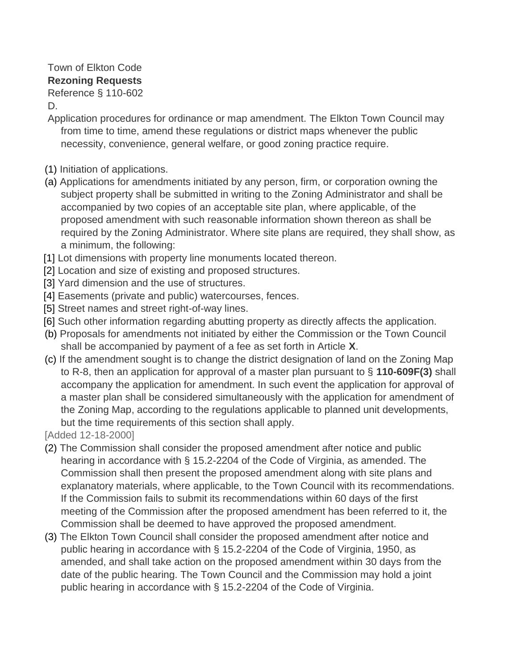## Town of Elkton Code **Rezoning Requests** Reference § 110-602

D.

- Application procedures for ordinance or map amendment. The Elkton Town Council may from time to time, amend these regulations or district maps whenever the public necessity, convenience, general welfare, or good zoning practice require.
- [\(1\)](http://ecode360.com/14852181#14852215) Initiation of applications.
- [\(a\)](http://ecode360.com/14852181#14852216) Applications for amendments initiated by any person, firm, or corporation owning the subject property shall be submitted in writing to the Zoning Administrator and shall be accompanied by two copies of an acceptable site plan, where applicable, of the proposed amendment with such reasonable information shown thereon as shall be required by the Zoning Administrator. Where site plans are required, they shall show, as a minimum, the following:
- [\[1\]](http://ecode360.com/14852181#14852217) Lot dimensions with property line monuments located thereon.
- [\[2\]](http://ecode360.com/14852181#14852218) Location and size of existing and proposed structures.
- [\[3\]](http://ecode360.com/14852181#14852219) Yard dimension and the use of structures.
- [\[4\]](http://ecode360.com/14852181#14852220) Easements (private and public) watercourses, fences.
- [\[5\]](http://ecode360.com/14852181#14852221) Street names and street right-of-way lines.
- [\[6\]](http://ecode360.com/14852181#14852222) Such other information regarding abutting property as directly affects the application.
- [\(b\)](http://ecode360.com/14852181#14852223) Proposals for amendments not initiated by either the Commission or the Town Council shall be accompanied by payment of a fee as set forth in Article **[X](http://ecode360.com/14852406#14852406)**.
- [\(c\)](http://ecode360.com/14852181#14852224) If the amendment sought is to change the district designation of land on the Zoning Map to R-8, then an application for approval of a master plan pursuant to § **[110-609F\(3\)](http://ecode360.com/14851448#14851448)** shall accompany the application for amendment. In such event the application for approval of a master plan shall be considered simultaneously with the application for amendment of the Zoning Map, according to the regulations applicable to planned unit developments, but the time requirements of this section shall apply.
- [Added 12-18-2000]
- [\(2\)](http://ecode360.com/14852181#14852225) The Commission shall consider the proposed amendment after notice and public hearing in accordance with § 15.2-2204 of the Code of Virginia, as amended. The Commission shall then present the proposed amendment along with site plans and explanatory materials, where applicable, to the Town Council with its recommendations. If the Commission fails to submit its recommendations within 60 days of the first meeting of the Commission after the proposed amendment has been referred to it, the Commission shall be deemed to have approved the proposed amendment.
- [\(3\)](http://ecode360.com/14852181#14852226) The Elkton Town Council shall consider the proposed amendment after notice and public hearing in accordance with § 15.2-2204 of the Code of Virginia, 1950, as amended, and shall take action on the proposed amendment within 30 days from the date of the public hearing. The Town Council and the Commission may hold a joint public hearing in accordance with § 15.2-2204 of the Code of Virginia.